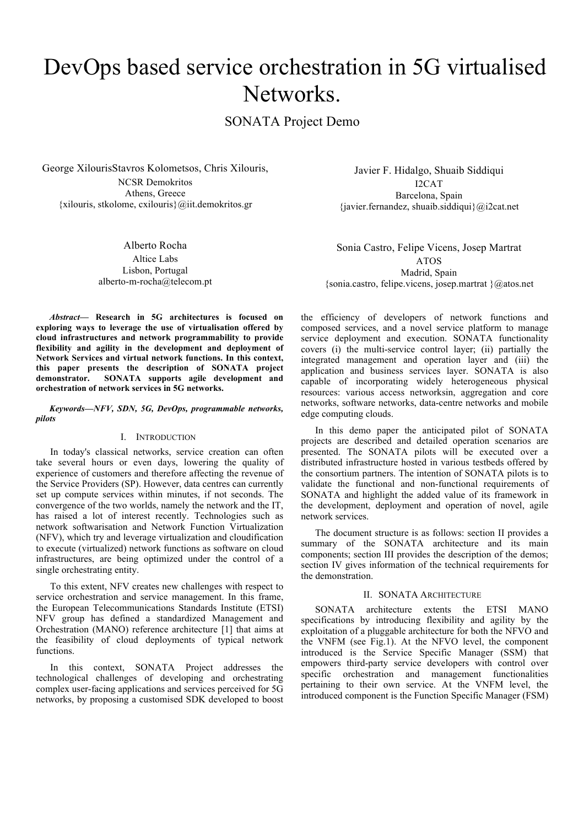# DevOps based service orchestration in 5G virtualised Networks.

SONATA Project Demo

George XilourisStavros Kolometsos, Chris Xilouris, NCSR Demokritos Athens, Greece {xilouris, stkolome, cxilouris}@iit.demokritos.gr

> Alberto Rocha Altice Labs Lisbon, Portugal alberto-m-rocha@telecom.pt

Javier F. Hidalgo, Shuaib Siddiqui I2CAT Barcelona, Spain {javier.fernandez, shuaib.siddiqui}@i2cat.net

Sonia Castro, Felipe Vicens, Josep Martrat ATOS Madrid, Spain {sonia.castro, felipe.vicens, josep.martrat }@atos.net

*Abstract***— Research in 5G architectures is focused on exploring ways to leverage the use of virtualisation offered by cloud infrastructures and network programmability to provide flexibility and agility in the development and deployment of Network Services and virtual network functions. In this context, this paper presents the description of SONATA project demonstrator. SONATA supports agile development and orchestration of network services in 5G networks.** 

*Keywords—NFV, SDN, 5G, DevOps, programmable networks, pilots*

### I. INTRODUCTION

In today's classical networks, service creation can often take several hours or even days, lowering the quality of experience of customers and therefore affecting the revenue of the Service Providers (SP). However, data centres can currently set up compute services within minutes, if not seconds. The convergence of the two worlds, namely the network and the IT, has raised a lot of interest recently. Technologies such as network softwarisation and Network Function Virtualization (NFV), which try and leverage virtualization and cloudification to execute (virtualized) network functions as software on cloud infrastructures, are being optimized under the control of a single orchestrating entity.

To this extent, NFV creates new challenges with respect to service orchestration and service management. In this frame, the European Telecommunications Standards Institute (ETSI) NFV group has defined a standardized Management and Orchestration (MANO) reference architecture [1] that aims at the feasibility of cloud deployments of typical network functions.

In this context, SONATA Project addresses the technological challenges of developing and orchestrating complex user-facing applications and services perceived for 5G networks, by proposing a customised SDK developed to boost

the efficiency of developers of network functions and composed services, and a novel service platform to manage service deployment and execution. SONATA functionality covers (i) the multi-service control layer; (ii) partially the integrated management and operation layer and (iii) the application and business services layer. SONATA is also capable of incorporating widely heterogeneous physical resources: various access networksin, aggregation and core networks, software networks, data-centre networks and mobile edge computing clouds.

In this demo paper the anticipated pilot of SONATA projects are described and detailed operation scenarios are presented. The SONATA pilots will be executed over a distributed infrastructure hosted in various testbeds offered by the consortium partners. The intention of SONATA pilots is to validate the functional and non-functional requirements of SONATA and highlight the added value of its framework in the development, deployment and operation of novel, agile network services.

The document structure is as follows: section II provides a summary of the SONATA architecture and its main components; section III provides the description of the demos; section IV gives information of the technical requirements for the demonstration.

### II. SONATA ARCHITECTURE

SONATA architecture extents the ETSI MANO specifications by introducing flexibility and agility by the exploitation of a pluggable architecture for both the NFVO and the VNFM (see Fig.1). At the NFVO level, the component introduced is the Service Specific Manager (SSM) that empowers third-party service developers with control over specific orchestration and management functionalities pertaining to their own service. At the VNFM level, the introduced component is the Function Specific Manager (FSM)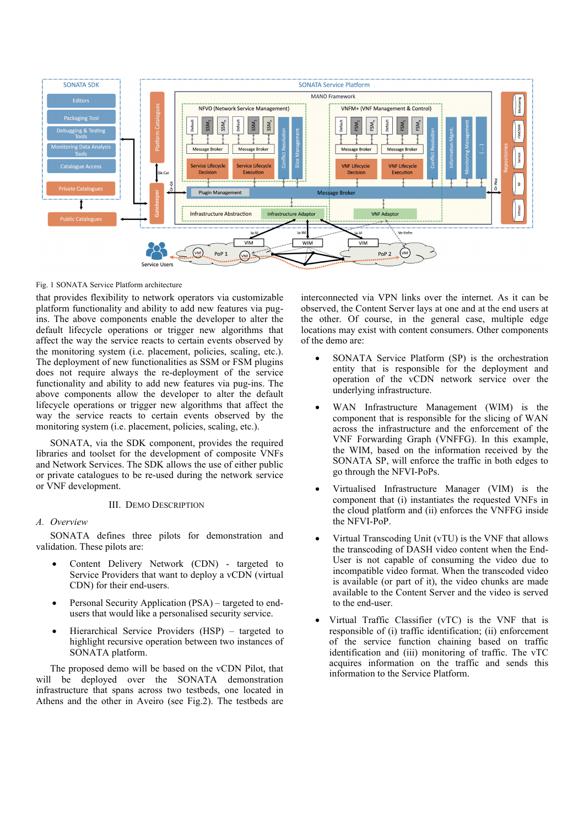

#### Fig. 1 SONATA Service Platform architecture

that provides flexibility to network operators via customizable platform functionality and ability to add new features via pugins. The above components enable the developer to alter the default lifecycle operations or trigger new algorithms that affect the way the service reacts to certain events observed by the monitoring system (i.e. placement, policies, scaling, etc.). The deployment of new functionalities as SSM or FSM plugins does not require always the re-deployment of the service functionality and ability to add new features via pug-ins. The above components allow the developer to alter the default lifecycle operations or trigger new algorithms that affect the way the service reacts to certain events observed by the monitoring system (i.e. placement, policies, scaling, etc.).

SONATA, via the SDK component, provides the required libraries and toolset for the development of composite VNFs and Network Services. The SDK allows the use of either public or private catalogues to be re-used during the network service or VNF development.

# III. DEMO DESCRIPTION

# *A. Overview*

SONATA defines three pilots for demonstration and validation. These pilots are:

- Content Delivery Network (CDN) targeted to Service Providers that want to deploy a vCDN (virtual CDN) for their end-users.
- Personal Security Application (PSA) targeted to endusers that would like a personalised security service.
- Hierarchical Service Providers (HSP) targeted to highlight recursive operation between two instances of SONATA platform.

The proposed demo will be based on the vCDN Pilot, that will be deployed over the SONATA demonstration infrastructure that spans across two testbeds, one located in Athens and the other in Aveiro (see Fig.2). The testbeds are

interconnected via VPN links over the internet. As it can be observed, the Content Server lays at one and at the end users at the other. Of course, in the general case, multiple edge locations may exist with content consumers. Other components of the demo are:

- SONATA Service Platform (SP) is the orchestration entity that is responsible for the deployment and operation of the vCDN network service over the underlying infrastructure.
- WAN Infrastructure Management (WIM) is the component that is responsible for the slicing of WAN across the infrastructure and the enforcement of the VNF Forwarding Graph (VNFFG). In this example, the WIM, based on the information received by the SONATA SP, will enforce the traffic in both edges to go through the NFVI-PoPs.
- Virtualised Infrastructure Manager (VIM) is the component that (i) instantiates the requested VNFs in the cloud platform and (ii) enforces the VNFFG inside the NFVI-PoP.
- Virtual Transcoding Unit (vTU) is the VNF that allows the transcoding of DASH video content when the End-User is not capable of consuming the video due to incompatible video format. When the transcoded video is available (or part of it), the video chunks are made available to the Content Server and the video is served to the end-user.
- Virtual Traffic Classifier (vTC) is the VNF that is responsible of (i) traffic identification; (ii) enforcement of the service function chaining based on traffic identification and (iii) monitoring of traffic. The vTC acquires information on the traffic and sends this information to the Service Platform.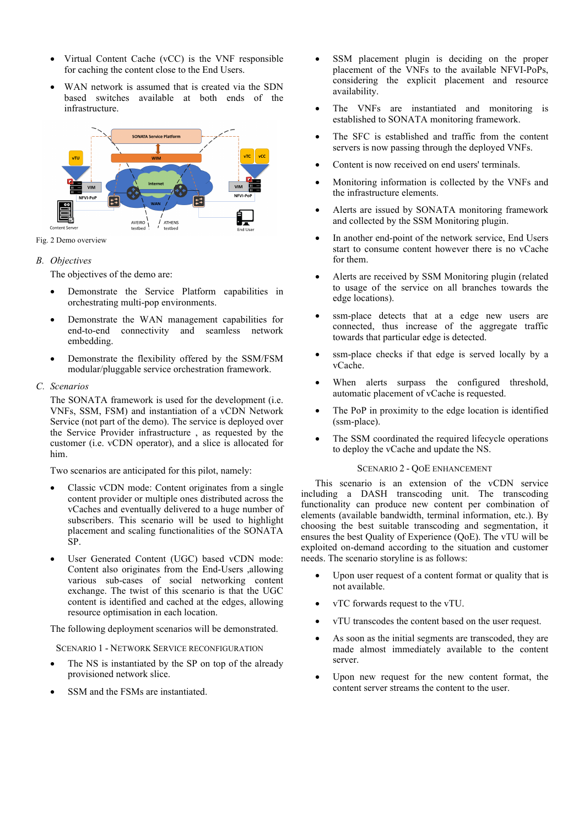- Virtual Content Cache (vCC) is the VNF responsible for caching the content close to the End Users.
- WAN network is assumed that is created via the SDN based switches available at both ends of the infrastructure.



# *B. Objectives*

The objectives of the demo are:

- Demonstrate the Service Platform capabilities in orchestrating multi-pop environments.
- Demonstrate the WAN management capabilities for end-to-end connectivity and seamless network embedding.
- Demonstrate the flexibility offered by the SSM/FSM modular/pluggable service orchestration framework.
- *C. Scenarios*

The SONATA framework is used for the development (i.e. VNFs, SSM, FSM) and instantiation of a vCDN Network Service (not part of the demo). The service is deployed over the Service Provider infrastructure , as requested by the customer (i.e. vCDN operator), and a slice is allocated for him.

Two scenarios are anticipated for this pilot, namely:

- Classic vCDN mode: Content originates from a single content provider or multiple ones distributed across the vCaches and eventually delivered to a huge number of subscribers. This scenario will be used to highlight placement and scaling functionalities of the SONATA SP.
- User Generated Content (UGC) based vCDN mode: Content also originates from the End-Users ,allowing various sub-cases of social networking content exchange. The twist of this scenario is that the UGC content is identified and cached at the edges, allowing resource optimisation in each location.

The following deployment scenarios will be demonstrated.

SCENARIO 1 - NETWORK SERVICE RECONFIGURATION

- The NS is instantiated by the SP on top of the already provisioned network slice.
- SSM and the FSMs are instantiated.
- SSM placement plugin is deciding on the proper placement of the VNFs to the available NFVI-PoPs, considering the explicit placement and resource availability.
- The VNFs are instantiated and monitoring is established to SONATA monitoring framework.
- The SFC is established and traffic from the content servers is now passing through the deployed VNFs.
- Content is now received on end users' terminals.
- Monitoring information is collected by the VNFs and the infrastructure elements.
- Alerts are issued by SONATA monitoring framework and collected by the SSM Monitoring plugin.
- In another end-point of the network service, End Users start to consume content however there is no vCache for them.
- Alerts are received by SSM Monitoring plugin (related to usage of the service on all branches towards the edge locations).
- ssm-place detects that at a edge new users are connected, thus increase of the aggregate traffic towards that particular edge is detected.
- ssm-place checks if that edge is served locally by a vCache.
- When alerts surpass the configured threshold, automatic placement of vCache is requested.
- The PoP in proximity to the edge location is identified (ssm-place).
- The SSM coordinated the required lifecycle operations to deploy the vCache and update the NS.

# SCENARIO 2 - QOE ENHANCEMENT

This scenario is an extension of the vCDN service including a DASH transcoding unit. The transcoding functionality can produce new content per combination of elements (available bandwidth, terminal information, etc.). By choosing the best suitable transcoding and segmentation, it ensures the best Quality of Experience (QoE). The vTU will be exploited on-demand according to the situation and customer needs. The scenario storyline is as follows:

- Upon user request of a content format or quality that is not available.
- vTC forwards request to the vTU.
- vTU transcodes the content based on the user request.
- As soon as the initial segments are transcoded, they are made almost immediately available to the content server.
- Upon new request for the new content format, the content server streams the content to the user.